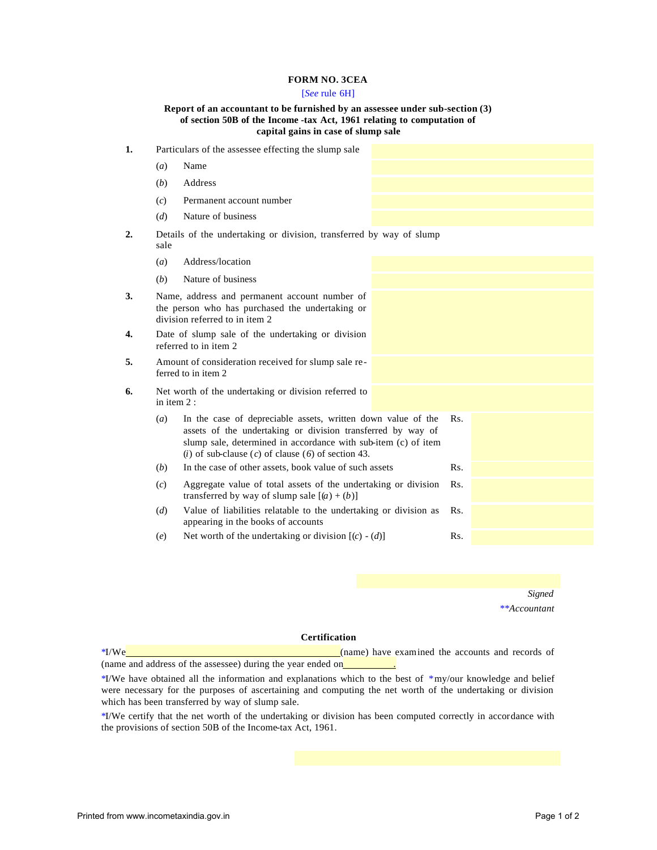## **FORM NO. 3CEA**

# [*See* rule 6H]

#### **Report of an accountant to be furnished by an assessee under sub-section (3) of section 50B of the Income -tax Act, 1961 relating to computation of capital gains in case of slump sale**

**1.** Particulars of the assessee effecting the slump sale (*a*) Name (*b*) Address (*c*) Permanent account number (*d*) Nature of business **2.** Details of the undertaking or division, transferred by way of slump sale (*a*) Address/location (*b*) Nature of business **3.** Name, address and permanent account number of the person who has purchased the undertaking or division referred to in item 2 **4.** Date of slump sale of the undertaking or division referred to in item 2 **5.** Amount of consideration received for slump sale referred to in item 2 **6.** Net worth of the undertaking or division referred to in item 2 : (*a*) In the case of depreciable assets, written down value of the assets of the undertaking or division transferred by way of slump sale, determined in accordance with sub-item (c) of item (*i*) of sub-clause (*c*) of clause (*6*) of section 43. Rs. (*b*) In the case of other assets, book value of such assets Rs. (*c*) Aggregate value of total assets of the undertaking or division transferred by way of slump sale  $[(a) + (b)]$ Rs. (*d*) Value of liabilities relatable to the undertaking or division as appearing in the books of accounts Rs. (*e*) Net worth of the undertaking or division  $[(c) - (d)]$  Rs.

> *Signed \*\*Accountant*

### **Certification**

\*I/We (name) have examined the accounts and records of (name and address of the assessee) during the year ended on

\*I/We have obtained all the information and explanations which to the best of \*my/our knowledge and belief were necessary for the purposes of ascertaining and computing the net worth of the undertaking or division which has been transferred by way of slump sale.

\*I/We certify that the net worth of the undertaking or division has been computed correctly in accordance with the provisions of section 50B of the Income-tax Act, 1961.